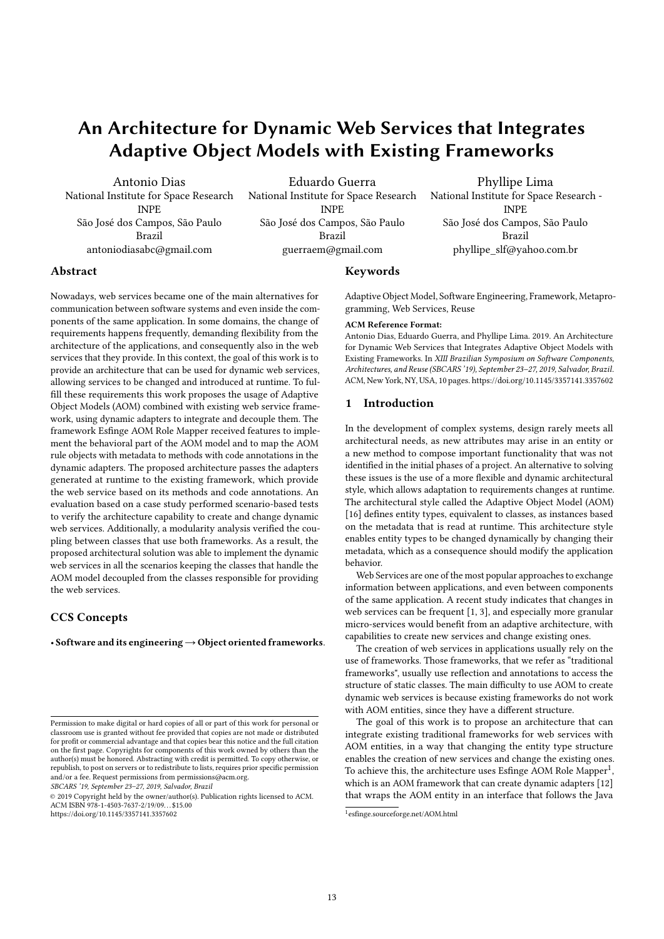# An Architecture for Dynamic Web Services that Integrates Adaptive Object Models with Existing Frameworks

Antonio Dias National Institute for Space Research INPE São José dos Campos, São Paulo Brazil antoniodiasabc@gmail.com

Eduardo Guerra National Institute for Space Research INPE São José dos Campos, São Paulo Brazil guerraem@gmail.com

Phyllipe Lima National Institute for Space Research - INPE São José dos Campos, São Paulo Brazil phyllipe\_slf@yahoo.com.br

# Abstract

Nowadays, web services became one of the main alternatives for communication between software systems and even inside the components of the same application. In some domains, the change of requirements happens frequently, demanding flexibility from the architecture of the applications, and consequently also in the web services that they provide. In this context, the goal of this work is to provide an architecture that can be used for dynamic web services, allowing services to be changed and introduced at runtime. To fulfill these requirements this work proposes the usage of Adaptive Object Models (AOM) combined with existing web service framework, using dynamic adapters to integrate and decouple them. The framework Esfinge AOM Role Mapper received features to implement the behavioral part of the AOM model and to map the AOM rule objects with metadata to methods with code annotations in the dynamic adapters. The proposed architecture passes the adapters generated at runtime to the existing framework, which provide the web service based on its methods and code annotations. An evaluation based on a case study performed scenario-based tests to verify the architecture capability to create and change dynamic web services. Additionally, a modularity analysis verified the coupling between classes that use both frameworks. As a result, the proposed architectural solution was able to implement the dynamic web services in all the scenarios keeping the classes that handle the AOM model decoupled from the classes responsible for providing the web services.

# CCS Concepts

· Software and its engineering→Object oriented frameworks.

SBCARS '19, September 23–27, 2019, Salvador, Brazil

© 2019 Copyright held by the owner/author(s). Publication rights licensed to ACM.<br>ACM ISBN 978-1-4503-7637-2/19/09…\$15.00

https://doi.org/10.1145/3357141.3357602

#### Keywords

Adaptive Object Model, Software Engineering, Framework, Metaprogramming, Web Services, Reuse

#### ACM Reference Format:

Antonio Dias, Eduardo Guerra, and Phyllipe Lima. 2019. An Architecture for Dynamic Web Services that Integrates Adaptive Object Models with Existing Frameworks. In XIII Brazilian Symposium on Software Components, Architectures, and Reuse (SBCARS '19), September 23–27, 2019, Salvador, Brazil. ACM, New York, NY, USA, 10 pages. https://doi.org/10.1145/3357141.3357602

#### 1 Introduction

In the development of complex systems, design rarely meets all architectural needs, as new attributes may arise in an entity or a new method to compose important functionality that was not identified in the initial phases of a project. An alternative to solving these issues is the use of a more flexible and dynamic architectural style, which allows adaptation to requirements changes at runtime. The architectural style called the Adaptive Object Model (AOM) [16] defines entity types, equivalent to classes, as instances based on the metadata that is read at runtime. This architecture style enables entity types to be changed dynamically by changing their metadata, which as a consequence should modify the application behavior.

Web Services are one of the most popular approaches to exchange information between applications, and even between components of the same application. A recent study indicates that changes in web services can be frequent [1, 3], and especially more granular micro-services would benefit from an adaptive architecture, with capabilities to create new services and change existing ones.

The creation of web services in applications usually rely on the use of frameworks. Those frameworks, that we refer as "traditional frameworks", usually use reflection and annotations to access the structure of static classes. The main difficulty to use AOM to create dynamic web services is because existing frameworks do not work with AOM entities, since they have a different structure.

The goal of this work is to propose an architecture that can integrate existing traditional frameworks for web services with AOM entities, in a way that changing the entity type structure enables the creation of new services and change the existing ones. To achieve this, the architecture uses Esfinge AOM Role Mapper<sup>1</sup>, which is an AOM framework that can create dynamic adapters [12] that wraps the AOM entity in an interface that follows the Java

Permission to make digital or hard copies of all or part of this work for personal or classroom use is granted without fee provided that copies are not made or distributed for profit or commercial advantage and that copies bear this notice and the full citation on the first page. Copyrights for components of this work owned by others than the author(s) must be honored. Abstracting with credit is permitted. To copy otherwise, or republish, to post on servers or to redistribute to lists, requires prior specific permission and/or a fee. Request permissions from permissions@acm.org.

<sup>1</sup> esfinge.sourceforge.net/AOM.html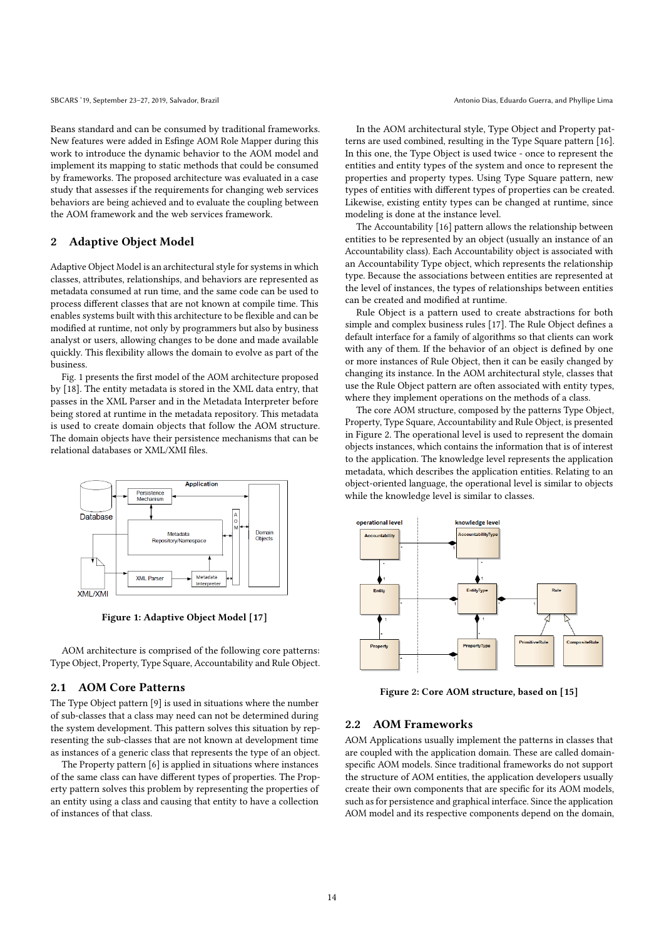Beans standard and can be consumed by traditional frameworks. New features were added in Esfinge AOM Role Mapper during this work to introduce the dynamic behavior to the AOM model and implement its mapping to static methods that could be consumed by frameworks. The proposed architecture was evaluated in a case study that assesses if the requirements for changing web services behaviors are being achieved and to evaluate the coupling between the AOM framework and the web services framework.

# 2 Adaptive Object Model

Adaptive Object Model is an architectural style for systems in which classes, attributes, relationships, and behaviors are represented as metadata consumed at run time, and the same code can be used to process different classes that are not known at compile time. This enables systems built with this architecture to be flexible and can be modified at runtime, not only by programmers but also by business analyst or users, allowing changes to be done and made available quickly. This flexibility allows the domain to evolve as part of the business.

Fig. 1 presents the first model of the AOM architecture proposed by [18]. The entity metadata is stored in the XML data entry, that passes in the XML Parser and in the Metadata Interpreter before being stored at runtime in the metadata repository. This metadata is used to create domain objects that follow the AOM structure. The domain objects have their persistence mechanisms that can be relational databases or XML/XMI files.



Figure 1: Adaptive Object Model [17]

AOM architecture is comprised of the following core patterns: Type Object, Property, Type Square, Accountability and Rule Object.

# 2.1 AOM Core Patterns

The Type Object pattern [9] is used in situations where the number of sub-classes that a class may need can not be determined during the system development. This pattern solves this situation by representing the sub-classes that are not known at development time as instances of a generic class that represents the type of an object.

The Property pattern [6] is applied in situations where instances of the same class can have different types of properties. The Property pattern solves this problem by representing the properties of an entity using a class and causing that entity to have a collection of instances of that class.

In the AOM architectural style, Type Object and Property patterns are used combined, resulting in the Type Square pattern [16]. In this one, the Type Object is used twice - once to represent the entities and entity types of the system and once to represent the properties and property types. Using Type Square pattern, new types of entities with different types of properties can be created. Likewise, existing entity types can be changed at runtime, since modeling is done at the instance level.

The Accountability [16] pattern allows the relationship between entities to be represented by an object (usually an instance of an Accountability class). Each Accountability object is associated with an Accountability Type object, which represents the relationship type. Because the associations between entities are represented at the level of instances, the types of relationships between entities can be created and modified at runtime.

Rule Object is a pattern used to create abstractions for both simple and complex business rules [17]. The Rule Object defines a default interface for a family of algorithms so that clients can work with any of them. If the behavior of an object is defined by one or more instances of Rule Object, then it can be easily changed by changing its instance. In the AOM architectural style, classes that use the Rule Object pattern are often associated with entity types, where they implement operations on the methods of a class.

The core AOM structure, composed by the patterns Type Object, Property, Type Square, Accountability and Rule Object, is presented in Figure 2. The operational level is used to represent the domain objects instances, which contains the information that is of interest to the application. The knowledge level represents the application metadata, which describes the application entities. Relating to an object-oriented language, the operational level is similar to objects while the knowledge level is similar to classes.



Figure 2: Core AOM structure, based on [15]

# 2.2 AOM Frameworks

AOM Applications usually implement the patterns in classes that are coupled with the application domain. These are called domainspecific AOM models. Since traditional frameworks do not support the structure of AOM entities, the application developers usually create their own components that are specific for its AOM models, such as for persistence and graphical interface. Since the application AOM model and its respective components depend on the domain,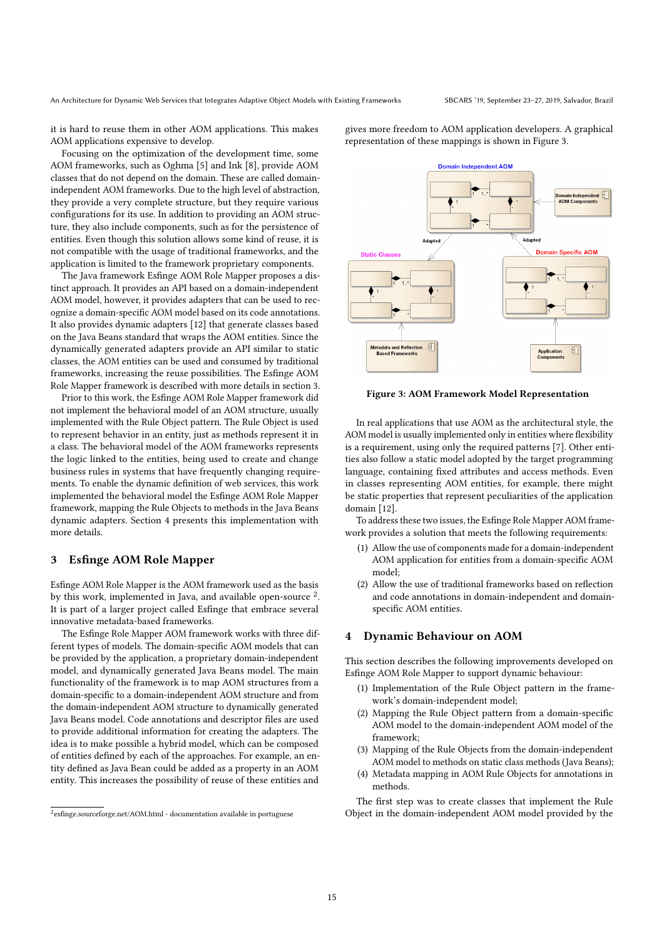An Architecture for Dynamic Web Services that Integrates Adaptive Object Models with Existing Frameworks SBCARS '19, September 23-27, 2019, Salvador, Brazil

it is hard to reuse them in other AOM applications. This makes AOM applications expensive to develop.

Focusing on the optimization of the development time, some AOM frameworks, such as Oghma [5] and Ink [8], provide AOM classes that do not depend on the domain. These are called domainindependent AOM frameworks. Due to the high level of abstraction, they provide a very complete structure, but they require various configurations for its use. In addition to providing an AOM structure, they also include components, such as for the persistence of entities. Even though this solution allows some kind of reuse, it is not compatible with the usage of traditional frameworks, and the application is limited to the framework proprietary components.

The Java framework Esfinge AOM Role Mapper proposes a distinct approach. It provides an API based on a domain-independent AOM model, however, it provides adapters that can be used to recognize a domain-specific AOM model based on its code annotations. It also provides dynamic adapters [12] that generate classes based on the Java Beans standard that wraps the AOM entities. Since the dynamically generated adapters provide an API similar to static classes, the AOM entities can be used and consumed by traditional frameworks, increasing the reuse possibilities. The Esfinge AOM Role Mapper framework is described with more details in section 3.

Prior to this work, the Esfinge AOM Role Mapper framework did not implement the behavioral model of an AOM structure, usually implemented with the Rule Object pattern. The Rule Object is used to represent behavior in an entity, just as methods represent it in a class. The behavioral model of the AOM frameworks represents the logic linked to the entities, being used to create and change business rules in systems that have frequently changing requirements. To enable the dynamic definition of web services, this work implemented the behavioral model the Esfinge AOM Role Mapper framework, mapping the Rule Objects to methods in the Java Beans dynamic adapters. Section 4 presents this implementation with more details.

# 3 Esfinge AOM Role Mapper

Esfinge AOM Role Mapper is the AOM framework used as the basis by this work, implemented in Java, and available open-source<sup>2</sup>. It is part of a larger project called Esfinge that embrace several innovative metadata-based frameworks.

The Esfinge Role Mapper AOM framework works with three different types of models. The domain-specific AOM models that can be provided by the application, a proprietary domain-independent model, and dynamically generated Java Beans model. The main functionality of the framework is to map AOM structures from a domain-specific to a domain-independent AOM structure and from the domain-independent AOM structure to dynamically generated Java Beans model. Code annotations and descriptor files are used to provide additional information for creating the adapters. The idea is to make possible a hybrid model, which can be composed of entities defined by each of the approaches. For example, an entity defined as Java Bean could be added as a property in an AOM entity. This increases the possibility of reuse of these entities and

gives more freedom to AOM application developers. A graphical representation of these mappings is shown in Figure 3.



Figure 3: AOM Framework Model Representation

In real applications that use AOM as the architectural style, the AOM model is usually implemented only in entities where flexibility is a requirement, using only the required patterns [7]. Other entities also follow a static model adopted by the target programming language, containing fixed attributes and access methods. Even in classes representing AOM entities, for example, there might be static properties that represent peculiarities of the application domain [12].

To address these two issues, the Esfinge Role Mapper AOM framework provides a solution that meets the following requirements:

- (1) Allow the use of components made for a domain-independent AOM application for entities from a domain-specific AOM model;
- (2) Allow the use of traditional frameworks based on reflection and code annotations in domain-independent and domainspecific AOM entities.

# 4 Dynamic Behaviour on AOM

This section describes the following improvements developed on Esfinge AOM Role Mapper to support dynamic behaviour:

- (1) Implementation of the Rule Object pattern in the framework's domain-independent model;
- (2) Mapping the Rule Object pattern from a domain-specific AOM model to the domain-independent AOM model of the framework;
- (3) Mapping of the Rule Objects from the domain-independent AOM model to methods on static class methods (Java Beans);
- (4) Metadata mapping in AOM Rule Objects for annotations in methods.

The first step was to create classes that implement the Rule Object in the domain-independent AOM model provided by the

<sup>&</sup>lt;sup>2</sup>esfinge.sourceforge.net/AOM.html - documentation available in portuguese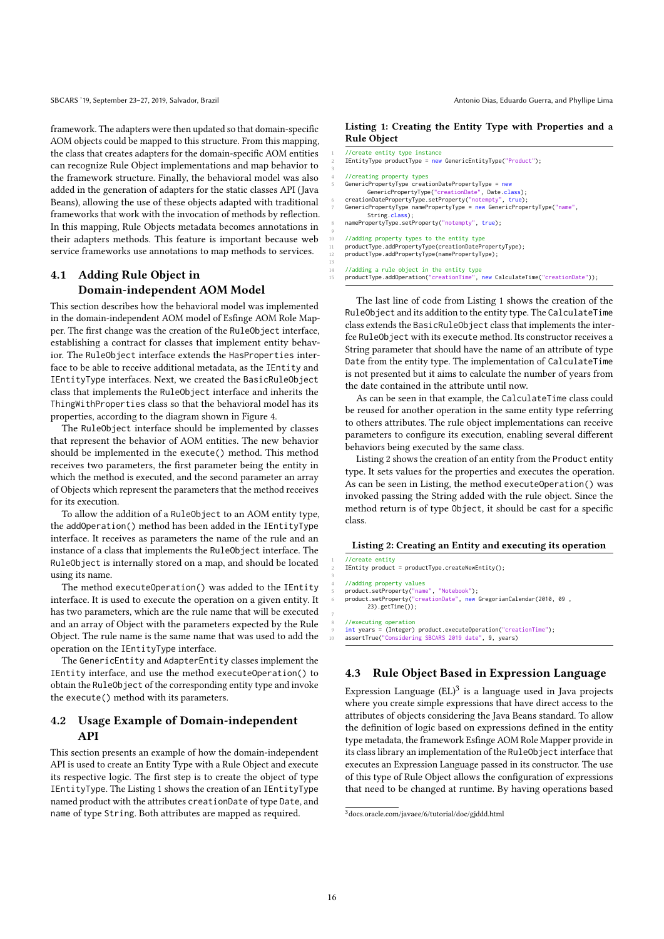framework. The adapters were then updated so that domain-specific AOM objects could be mapped to this structure. From this mapping, the class that creates adapters for the domain-specific AOM entities can recognize Rule Object implementations and map behavior to the framework structure. Finally, the behavioral model was also added in the generation of adapters for the static classes API (Java Beans), allowing the use of these objects adapted with traditional frameworks that work with the invocation of methods by reflection. In this mapping, Rule Objects metadata becomes annotations in their adapters methods. This feature is important because web service frameworks use annotations to map methods to services.

# 4.1 Adding Rule Object in Domain-independent AOM Model

This section describes how the behavioral model was implemented in the domain-independent AOM model of Esfinge AOM Role Mapper. The first change was the creation of the RuleObject interface, establishing a contract for classes that implement entity behavior. The RuleObject interface extends the HasProperties interface to be able to receive additional metadata, as the IEntity and IEntityType interfaces. Next, we created the BasicRuleObject class that implements the RuleObject interface and inherits the ThingWithProperties class so that the behavioral model has its properties, according to the diagram shown in Figure 4.

The RuleObject interface should be implemented by classes that represent the behavior of AOM entities. The new behavior should be implemented in the execute() method. This method receives two parameters, the first parameter being the entity in which the method is executed, and the second parameter an array of Objects which represent the parameters that the method receives for its execution.

To allow the addition of a RuleObject to an AOM entity type, the addOperation() method has been added in the IEntityType interface. It receives as parameters the name of the rule and an instance of a class that implements the RuleObject interface. The RuleObject is internally stored on a map, and should be located using its name.

The method executeOperation() was added to the IEntity interface. It is used to execute the operation on a given entity. It has two parameters, which are the rule name that will be executed and an array of Object with the parameters expected by the Rule Object. The rule name is the same name that was used to add the operation on the IEntityType interface.

The GenericEntity and AdapterEntity classes implement the IEntity interface, and use the method executeOperation() to obtain the RuleObject of the corresponding entity type and invoke the execute() method with its parameters.

# 4.2 Usage Example of Domain-independent API

This section presents an example of how the domain-independent API is used to create an Entity Type with a Rule Object and execute its respective logic. The first step is to create the object of type IEntityType. The Listing 1 shows the creation of an IEntityType named product with the attributes creationDate of type Date, and name of type String. Both attributes are mapped as required.

# Listing 1: Creating the Entity Type with Properties and a Rule Object

|    | //create entity type instance                                                |
|----|------------------------------------------------------------------------------|
| 2  | $IEntityType productType = new GeneticEntityType("Product");$                |
| 3  |                                                                              |
| 4  | //creating property types                                                    |
| 5  | GenericPropertyType creationDatePropertyType = new                           |
|    | GenericPropertyType("creationDate", Date.class);                             |
| 6  | creationDatePropertyType.setProperty("notempty", true);                      |
| 7  | GenericPropertyType namePropertyType = new GenericPropertyType("name",       |
|    | String.class):                                                               |
| 8  | namePropertyType.setProperty("notempty", true);                              |
| 9  |                                                                              |
| 10 | //adding property types to the entity type                                   |
| 11 | productType.addPropertyType(creationDatePropertyType);                       |
| 12 | productType.addPropertyType(namePropertyType);                               |
| 13 |                                                                              |
| 14 | //adding a rule object in the entity type                                    |
| 15 | productType.addOperation("creationTime", new CalculateTime("creationDate")); |

The last line of code from Listing 1 shows the creation of the RuleObject and its addition to the entity type. The CalculateTime class extends the BasicRuleObject class that implements the interfce RuleObject with its execute method. Its constructor receives a String parameter that should have the name of an attribute of type Date from the entity type. The implementation of CalculateTime is not presented but it aims to calculate the number of years from the date contained in the attribute until now.

As can be seen in that example, the CalculateTime class could be reused for another operation in the same entity type referring to others attributes. The rule object implementations can receive parameters to configure its execution, enabling several different behaviors being executed by the same class.

Listing 2 shows the creation of an entity from the Product entity type. It sets values for the properties and executes the operation. As can be seen in Listing, the method executeOperation() was invoked passing the String added with the rule object. Since the method return is of type Object, it should be cast for a specific class.

### Listing 2: Creating an Entity and executing its operation

 $1/$ create entity

3

7

IEntity product = productType.createNewEntity();

4 //adding property values

5 product.setProperty("name", "Notebook"); 6 product.setProperty("creationDate", new GregorianCalendar(2010, 09 ,  $23)$ .getTime $()$ ;

8 //executing operation 9 int years = (Integer) product.executeOperation("creationTime"); assertTrue("Considering SBCARS 2019 date", 9, years)

# 4.3 Rule Object Based in Expression Language

Expression Language  $(EL)^3$  is a language used in Java projects where you create simple expressions that have direct access to the attributes of objects considering the Java Beans standard. To allow the definition of logic based on expressions defined in the entity type metadata, the framework Esfinge AOM Role Mapper provide in its class library an implementation of the RuleObject interface that executes an Expression Language passed in its constructor. The use of this type of Rule Object allows the configuration of expressions that need to be changed at runtime. By having operations based

<sup>3</sup>docs.oracle.com/javaee/6/tutorial/doc/gjddd.html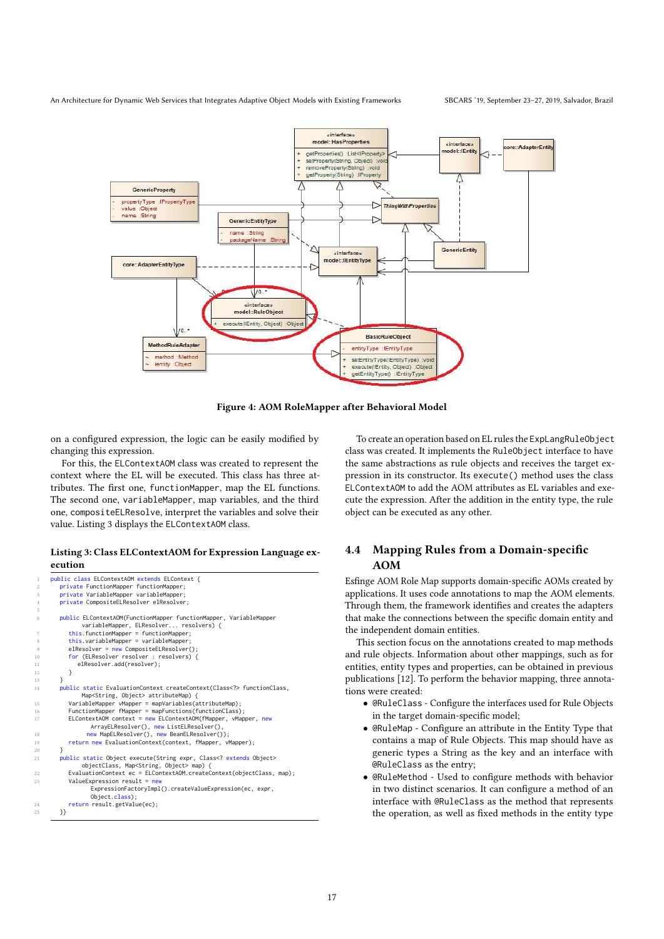

Figure 4: AOM RoleMapper after Behavioral Model

on a configured expression, the logic can be easily modified by changing this expression.

For this, the ELContextAOM class was created to represent the context where the EL will be executed. This class has three attributes. The first one, functionMapper, map the EL functions. The second one, variableMapper, map variables, and the third one, compositeELResolve, interpret the variables and solve their value. Listing 3 displays the ELContextAOM class.

#### Listing 3: Class ELContextAOM for Expression Language execution

```
public class ELContextAOM extends ELContext {
          2 private FunctionMapper functionMapper;
          3 private VariableMapper variableMapper;
          private CompositeELResolver elResolver;
          6 public ELContextAOM(FunctionMapper functionMapper, VariableMapper
 variableMapper, ELResolver... resolvers) {
7 this.functionMapper = functionMapper;
8 this.variableMapper = variableMapper<br>8 this.variableMapper = variableMapper<br>9 elResolver = new CompositeELResolver
9 elResolver = new CompositeELResolver()<br>10 for (ELResolver resolver : resolvers)<br>11 elResolver.add(resolver);
10 for (ELResolver resolver : resolvers) {
11 elResolver.add(resolver);
\begin{array}{ccc} 12 & & & \ \end{array}<br>13 }
14 public static EvaluationContext createContext(Class<?> functionClass,
                    Map<String, Object> attributeMap) {
15 VariableMapper vMapper = mapVariables(attributeMap);
16 FunctionMapper fMapper = mapFunctions(functionClass);
17 ELContextAOM context = new ELContextAOM(fMapper, vMapper, new
                       ArrayELResolver(), new ListELResolver(),
18 new MapELResolver(), new BeanELResolver());<br>19 return new EvaluationContext(context, fMapper, vMapper);
          public static Object execute(String expr, Class<? extends Object>
                    objectClass, Map<String, Object> map) {
22 EvaluationContext ec = ELContextAOM.createContext(objectClass, map);<br>ValueExpression result = new
              ValueExpression result = nExpressionFactoryImpl().createValueExpression(ec, expr,
                       Object.class);
24 return result.getValue(ec);
          \mathcal{Y}
```
5

 $\frac{20}{21}$ 

To create an operation based on EL rules the ExpLangRuleObject class was created. It implements the RuleObject interface to have the same abstractions as rule objects and receives the target expression in its constructor. Its execute() method uses the class ELContextAOM to add the AOM attributes as EL variables and execute the expression. After the addition in the entity type, the rule object can be executed as any other.

# 4.4 Mapping Rules from a Domain-specific AOM

Esfinge AOM Role Map supports domain-specific AOMs created by applications. It uses code annotations to map the AOM elements. Through them, the framework identifies and creates the adapters that make the connections between the specific domain entity and the independent domain entities.

This section focus on the annotations created to map methods and rule objects. Information about other mappings, such as for entities, entity types and properties, can be obtained in previous publications [12]. To perform the behavior mapping, three annotations were created:

- @RuleClass Configure the interfaces used for Rule Objects in the target domain-specific model;
- @RuleMap Configure an attribute in the Entity Type that contains a map of Rule Objects. This map should have as generic types a String as the key and an interface with @RuleClass as the entry;
- @RuleMethod Used to configure methods with behavior in two distinct scenarios. It can configure a method of an interface with @RuleClass as the method that represents the operation, as well as fixed methods in the entity type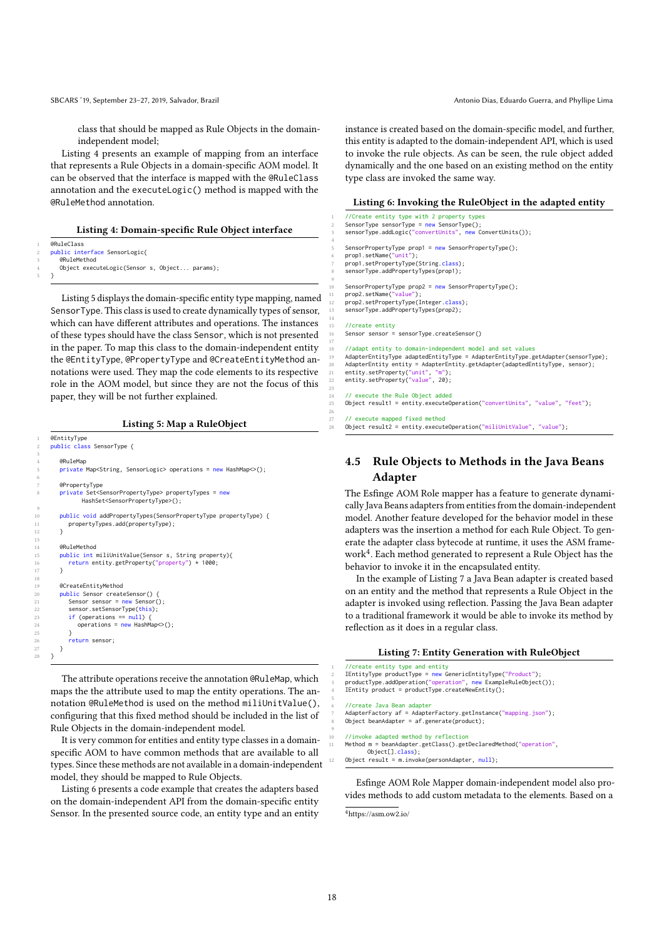SBCARS '19, September 23-27, 2019, Salvador, Brazil Antonio Dias, Eduardo Guerra, and Phyllipe Lima

class that should be mapped as Rule Objects in the domainindependent model;

Listing 4 presents an example of mapping from an interface that represents a Rule Objects in a domain-specific AOM model. It can be observed that the interface is mapped with the @RuleClass annotation and the executeLogic() method is mapped with the @RuleMethod annotation.

#### Listing 4: Domain-specific Rule Object interface

@RuleClass public interface SensorLogic{

5 }

3

6

9

 $\begin{array}{c} 10 \\ 11 \\ 12 \end{array}$ 

 $\begin{array}{c} 13 \\ 14 \\ 15 \end{array}$ 

 $rac{26}{27}$ 

eRuleMethod Object executeLogic(Sensor s, Object... params);

Listing 5 displays the domain-specific entity type mapping, named SensorType. This class is used to create dynamically types of sensor, which can have different attributes and operations. The instances of these types should have the class Sensor, which is not presented in the paper. To map this class to the domain-independent entity the @EntityType, @PropertyType and @CreateEntityMethod annotations were used. They map the code elements to its respective role in the AOM model, but since they are not the focus of this paper, they will be not further explained.

#### Listing 5: Map a RuleObject

```
@EntityType
    2 public class SensorType {
        @RuleMan
       5 private Map<String, SensorLogic> operations = new HashMap<>();
        @PropertyType
       8 private Set<SensorPropertyType> propertyTypes = new
              HashSet<SensorPropertyType>();
        10 public void addPropertyTypes(SensorPropertyType propertyType) {
        propertyTypes.add(propertyType);<br>}
        14 @RuleMethod
       public int miliUnitValue(Sensor s, String property){
        return entity.getProperty("property") * 1000;<br>}
17 }<br>18
        19 @CreateEntityMethod
20 public Sensor createSensor() {<br>21 Sensor sensor = new Sensor();
           sensor.setSensorType(this);
          if (operations == null)operations = new HashMap();
25 }
       return sensor;<br>}
    \overline{3}
```
The attribute operations receive the annotation @RuleMap, which maps the the attribute used to map the entity operations. The annotation @RuleMethod is used on the method miliUnitValue(), configuring that this fixed method should be included in the list of Rule Objects in the domain-independent model.

It is very common for entities and entity type classes in a domainspecific AOM to have common methods that are available to all types. Since these methods are not available in a domain-independent model, they should be mapped to Rule Objects.

Listing 6 presents a code example that creates the adapters based on the domain-independent API from the domain-specific entity Sensor. In the presented source code, an entity type and an entity

instance is created based on the domain-specific model, and further, this entity is adapted to the domain-independent API, which is used to invoke the rule objects. As can be seen, the rule object added dynamically and the one based on an existing method on the entity type class are invoked the same way.

#### Listing 6: Invoking the RuleObject in the adapted entity

1 //Create entity type with 2 property types 2 SensorType sensorType = new SensorType(); 3 sensorType.addLogic("convertUnits", new ConvertUnits()); SensorPropertyType prop1 = new SensorPropertyType(); prop1.setName("unit"); prop1.setPropertyType(String.class); sensorType.addPropertyTypes(prop1); SensorPropertyType prop2 = new SensorPropertyType();

11 prop2.setName("value"); 12 prop2.setPropertyType(Integer.class); 13 sensorType.addPropertyTypes(prop2);

> //create entity 16 Sensor sensor = sensorType.createSensor()

4

9

14

17

23

26

18 //adapt entity to domain-independent model and set values 19 AdapterEntityType adaptedEntityType = AdapterEntityType.getAdapter(sensorType); 20 AdapterEntity entity = AdapterEntity.getAdapter(adaptedEntityType, sensor);<br>21 entity.setProperty("unit", "m");<br>22 entity.setProperty("value", 20);

24 // execute the Rule Object added 25 Object result1 = entity.executeOperation("convertUnits", "value", "feet");

27 // execute mapped fixed method  $28$  Object result2 = entity.executeOperation("miliUnitValue", "value");

# 4.5 Rule Objects to Methods in the Java Beans Adapter

The Esfinge AOM Role mapper has a feature to generate dynamically Java Beans adapters from entities from the domain-independent model. Another feature developed for the behavior model in these adapters was the insertion a method for each Rule Object. To generate the adapter class bytecode at runtime, it uses the ASM framework<sup>4</sup> . Each method generated to represent a Rule Object has the behavior to invoke it in the encapsulated entity.

In the example of Listing 7 a Java Bean adapter is created based on an entity and the method that represents a Rule Object in the adapter is invoked using reflection. Passing the Java Bean adapter to a traditional framework it would be able to invoke its method by reflection as it does in a regular class.

```
Listing 7: Entity Generation with RuleObject
```

```
1 //create entity type and entity
2 IEntityType productType = new GenericEntityType("Product");
productType.addOperation("operation", new ExampleRuleObject());
4 IEntity product = productType.createNewEntity();
6 //create Java Bean adapter
AdapterFactory af = AdapterFactory.getInstance("mapping.json");
Object beanAdapter = af.generate(produced);//invoke adapted method by reflection
11 Method m = beanAdapter.getClass().getDeclaredMethod("operation",
      Object[].class);
Object result = m.invoke(personAdapter, null);
```
Esfinge AOM Role Mapper domain-independent model also provides methods to add custom metadata to the elements. Based on a

<sup>4</sup>https://asm.ow2.io/

18

5

9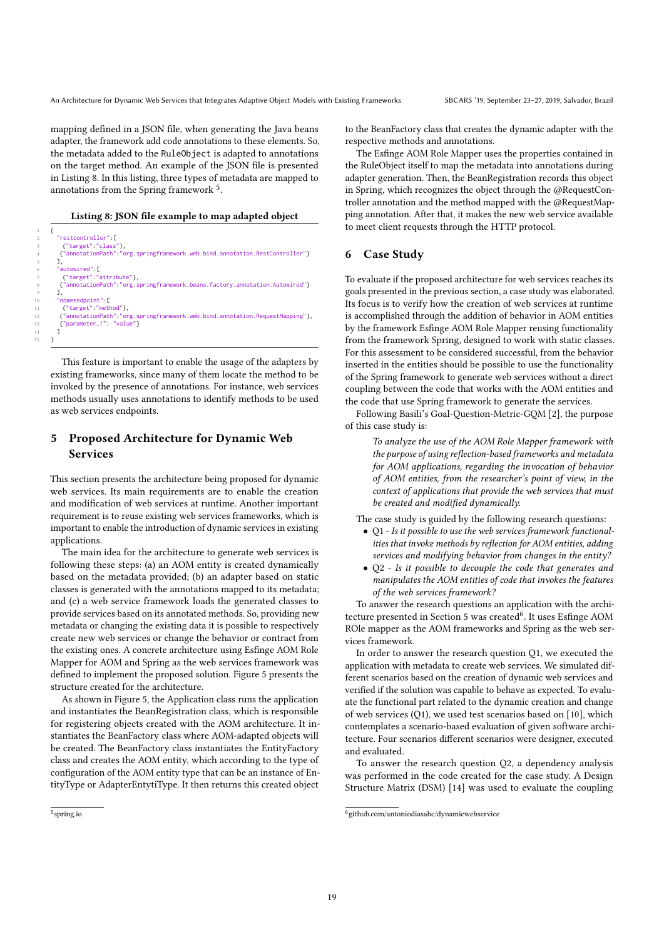mapping defined in a JSON file, when generating the Java beans adapter, the framework add code annotations to these elements. So, the metadata added to the RuleObject is adapted to annotations on the target method. An example of the JSON file is presented in Listing 8. In this listing, three types of metadata are mapped to annotations from the Spring framework  $^5$ .

#### Listing 8: JSON file example to map adapted object

| -2             | "restcontroller":[                                                           |
|----------------|------------------------------------------------------------------------------|
| 3              | {"target":"class"},                                                          |
| $\overline{4}$ | {"annotationPath":"org.springframework.web.bind.annotation.RestController"}  |
| -5             |                                                                              |
| 6              | "autowired" [                                                                |
| 7              | {"target":"attribute"},                                                      |
| 8              | {"annotationPath":"org.springframework.beans.factory.annotation.Autowired"}  |
| - 9            | ٦.                                                                           |
| 10             | "nomeendpoint". [                                                            |
| 11             | {"target":"method"},                                                         |
| 12             | {"annotationPath":"org.springframework.web.bind.annotation.RequestMapping"}, |
| 13             | {"parameter 1". "value"}                                                     |
| 14             |                                                                              |
| 15             |                                                                              |

This feature is important to enable the usage of the adapters by existing frameworks, since many of them locate the method to be invoked by the presence of annotations. For instance, web services methods usually uses annotations to identify methods to be used as web services endpoints.

# 5 Proposed Architecture for Dynamic Web Services

This section presents the architecture being proposed for dynamic web services. Its main requirements are to enable the creation and modification of web services at runtime. Another important requirement is to reuse existing web services frameworks, which is important to enable the introduction of dynamic services in existing applications.

The main idea for the architecture to generate web services is following these steps: (a) an AOM entity is created dynamically based on the metadata provided; (b) an adapter based on static classes is generated with the annotations mapped to its metadata; and (c) a web service framework loads the generated classes to provide services based on its annotated methods. So, providing new metadata or changing the existing data it is possible to respectively create new web services or change the behavior or contract from the existing ones. A concrete architecture using Esfinge AOM Role Mapper for AOM and Spring as the web services framework was defined to implement the proposed solution. Figure 5 presents the structure created for the architecture.

As shown in Figure 5, the Application class runs the application and instantiates the BeanRegistration class, which is responsible for registering objects created with the AOM architecture. It instantiates the BeanFactory class where AOM-adapted objects will be created. The BeanFactory class instantiates the EntityFactory class and creates the AOM entity, which according to the type of configuration of the AOM entity type that can be an instance of EntityType or AdapterEntytiType. It then returns this created object

5 spring.io

to the BeanFactory class that creates the dynamic adapter with the respective methods and annotations.

The Esfinge AOM Role Mapper uses the properties contained in the RuleObject itself to map the metadata into annotations during adapter generation. Then, the BeanRegistration records this object in Spring, which recognizes the object through the @RequestController annotation and the method mapped with the @RequestMapping annotation. After that, it makes the new web service available to meet client requests through the HTTP protocol.

# 6 Case Study

To evaluate if the proposed architecture for web services reaches its goals presented in the previous section, a case study was elaborated. Its focus is to verify how the creation of web services at runtime is accomplished through the addition of behavior in AOM entities by the framework Esfinge AOM Role Mapper reusing functionality from the framework Spring, designed to work with static classes. For this assessment to be considered successful, from the behavior inserted in the entities should be possible to use the functionality of the Spring framework to generate web services without a direct coupling between the code that works with the AOM entities and the code that use Spring framework to generate the services.

Following Basili's Goal-Question-Metric-GQM [2], the purpose of this case study is:

To analyze the use of the AOM Role Mapper framework with the purpose of using reflection-based frameworks and metadata for AOM applications, regarding the invocation of behavior of AOM entities, from the researcher's point of view, in the context of applications that provide the web services that must be created and modified dynamically.

The case study is guided by the following research questions:

- Q1 Is it possible to use the web services framework functionalities that invoke methods by reflection for AOM entities, adding services and modifying behavior from changes in the entity?
- Q2 Is it possible to decouple the code that generates and manipulates the AOM entities of code that invokes the features of the web services framework?

To answer the research questions an application with the architecture presented in Section 5 was created<sup>6</sup>. It uses Esfinge AOM ROle mapper as the AOM frameworks and Spring as the web services framework.

In order to answer the research question Q1, we executed the application with metadata to create web services. We simulated different scenarios based on the creation of dynamic web services and verified if the solution was capable to behave as expected. To evaluate the functional part related to the dynamic creation and change of web services (Q1), we used test scenarios based on [10], which contemplates a scenario-based evaluation of given software architecture. Four scenarios different scenarios were designer, executed and evaluated.

To answer the research question Q2, a dependency analysis was performed in the code created for the case study. A Design Structure Matrix (DSM) [14] was used to evaluate the coupling

<sup>6</sup> github.com/antoniodiasabc/dynamicwebservice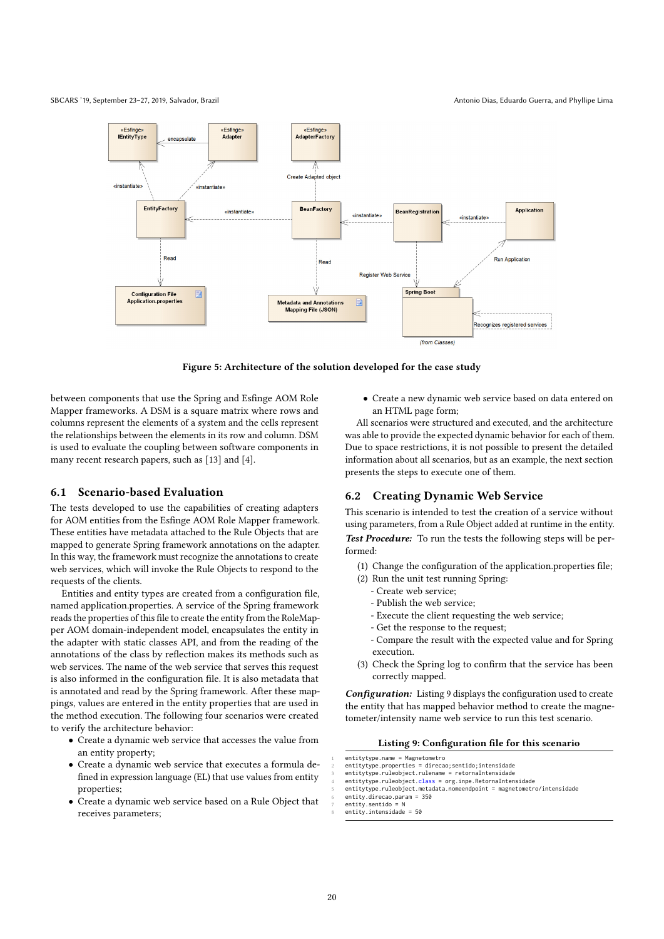SBCARS '19, September 23-27, 2019, Salvador, Brazil Antonio Dias, Eduardo Guerra, and Phyllipe Lima



Figure 5: Architecture of the solution developed for the case study

between components that use the Spring and Esfinge AOM Role Mapper frameworks. A DSM is a square matrix where rows and columns represent the elements of a system and the cells represent the relationships between the elements in its row and column. DSM is used to evaluate the coupling between software components in many recent research papers, such as [13] and [4].

# 6.1 Scenario-based Evaluation

The tests developed to use the capabilities of creating adapters for AOM entities from the Esfinge AOM Role Mapper framework. These entities have metadata attached to the Rule Objects that are mapped to generate Spring framework annotations on the adapter. In this way, the framework must recognize the annotations to create web services, which will invoke the Rule Objects to respond to the requests of the clients.

Entities and entity types are created from a configuration file, named application.properties. A service of the Spring framework reads the properties of this file to create the entity from the RoleMapper AOM domain-independent model, encapsulates the entity in the adapter with static classes API, and from the reading of the annotations of the class by reflection makes its methods such as web services. The name of the web service that serves this request is also informed in the configuration file. It is also metadata that is annotated and read by the Spring framework. After these mappings, values are entered in the entity properties that are used in the method execution. The following four scenarios were created to verify the architecture behavior:

- Create a dynamic web service that accesses the value from an entity property;
- Create a dynamic web service that executes a formula defined in expression language (EL) that use values from entity properties;
- Create a dynamic web service based on a Rule Object that receives parameters;

• Create a new dynamic web service based on data entered on an HTML page form;

All scenarios were structured and executed, and the architecture was able to provide the expected dynamic behavior for each of them. Due to space restrictions, it is not possible to present the detailed information about all scenarios, but as an example, the next section presents the steps to execute one of them.

# 6.2 Creating Dynamic Web Service

This scenario is intended to test the creation of a service without using parameters, from a Rule Object added at runtime in the entity. Test Procedure: To run the tests the following steps will be performed:

- (1) Change the configuration of the application.properties file;
- (2) Run the unit test running Spring:
	- Create web service;
	- Publish the web service;
	- Execute the client requesting the web service;
	- Get the response to the request;
	- Compare the result with the expected value and for Spring execution.
- (3) Check the Spring log to confirm that the service has been correctly mapped.

Configuration: Listing 9 displays the configuration used to create the entity that has mapped behavior method to create the magnetometer/intensity name web service to run this test scenario.

#### Listing 9: Configuration file for this scenario

- entitytype.name = Magnetometro
- entitytype.properties = direcao;sentido:intensidade 3 entitytype.ruleobject.rulename = retornaIntensidade
- 
- 4 entitytype.ruleobject.class = org.inpe.RetornaIntensidade 5 entitytype.ruleobject.metadata.nomeendpoint = magnetometro/intensidade
	- $entity$ . direcao.param = 350
	- entity.sentido = N
- $entity.$ intensidade = 50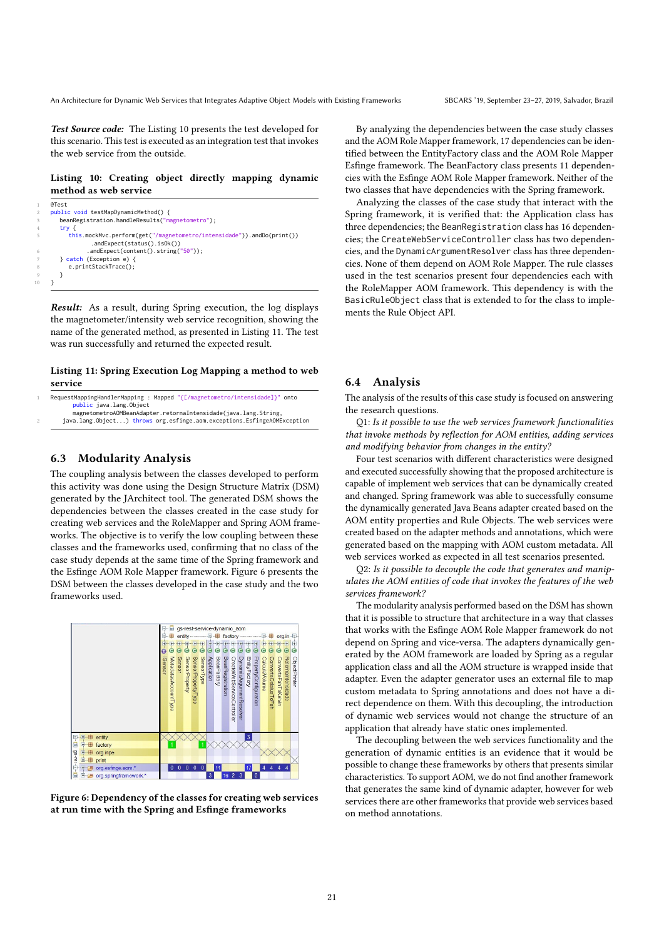Test Source code: The Listing 10 presents the test developed for this scenario. This test is executed as an integration test that invokes the web service from the outside.

# Listing 10: Creating object directly mapping dynamic method as web service

```
rac{1}{6 \text{c} + \text{c}}2 public void testMapDynamicMethod() {
       beanRegistration.handleResults("magnetometro");
4 try {
           this.mockMvc.perform(get("/magnetometro/intensidade")).andDo(print())
                   .andExpect(status().isOk())
                  .andExpect(content().string("50"));
        7 } catch (Exception e) {
           e.printStackTrace();
        \overline{ }10 }
```
Result: As a result, during Spring execution, the log displays the magnetometer/intensity web service recognition, showing the name of the generated method, as presented in Listing 11. The test was run successfully and returned the expected result.

# Listing 11: Spring Execution Log Mapping a method to web service

|                                                                 |  |  | RequestMappingHandlerMapping : Mapped "{[/magnetometro/intensidade]}" onto |  |  |
|-----------------------------------------------------------------|--|--|----------------------------------------------------------------------------|--|--|
| public java.lang.Object                                         |  |  |                                                                            |  |  |
| magnetometroAOMBeanAdapter.retornaIntensidade(iava.lang.String. |  |  |                                                                            |  |  |
|                                                                 |  |  |                                                                            |  |  |

java.lang.Object...) throws org.esfinge.aom.exceptions.EsfingeAOMException

# 6.3 Modularity Analysis

The coupling analysis between the classes developed to perform this activity was done using the Design Structure Matrix (DSM) generated by the JArchitect tool. The generated DSM shows the dependencies between the classes created in the case study for creating web services and the RoleMapper and Spring AOM frameworks. The objective is to verify the low coupling between these classes and the frameworks used, confirming that no class of the case study depends at the same time of the Spring framework and the Esfinge AOM Role Mapper framework. Figure 6 presents the DSM between the classes developed in the case study and the two frameworks used.





By analyzing the dependencies between the case study classes and the AOM Role Mapper framework, 17 dependencies can be identified between the EntityFactory class and the AOM Role Mapper Esfinge framework. The BeanFactory class presents 11 dependencies with the Esfinge AOM Role Mapper framework. Neither of the two classes that have dependencies with the Spring framework.

Analyzing the classes of the case study that interact with the Spring framework, it is verified that: the Application class has three dependencies; the BeanRegistration class has 16 dependencies; the CreateWebServiceController class has two dependencies, and the DynamicArgumentResolver class has three dependencies. None of them depend on AOM Role Mapper. The rule classes used in the test scenarios present four dependencies each with the RoleMapper AOM framework. This dependency is with the BasicRuleObject class that is extended to for the class to implements the Rule Object API.

#### 6.4 Analysis

The analysis of the results of this case study is focused on answering the research questions.

Q1: Is it possible to use the web services framework functionalities that invoke methods by reflection for AOM entities, adding services and modifying behavior from changes in the entity?

Four test scenarios with different characteristics were designed and executed successfully showing that the proposed architecture is capable of implement web services that can be dynamically created and changed. Spring framework was able to successfully consume the dynamically generated Java Beans adapter created based on the AOM entity properties and Rule Objects. The web services were created based on the adapter methods and annotations, which were generated based on the mapping with AOM custom metadata. All web services worked as expected in all test scenarios presented.

Q2: Is it possible to decouple the code that generates and manipulates the AOM entities of code that invokes the features of the web services framework?

The modularity analysis performed based on the DSM has shown that it is possible to structure that architecture in a way that classes that works with the Esfinge AOM Role Mapper framework do not depend on Spring and vice-versa. The adapters dynamically generated by the AOM framework are loaded by Spring as a regular application class and all the AOM structure is wrapped inside that adapter. Even the adapter generator uses an external file to map custom metadata to Spring annotations and does not have a direct dependence on them. With this decoupling, the introduction of dynamic web services would not change the structure of an application that already have static ones implemented.

The decoupling between the web services functionality and the generation of dynamic entities is an evidence that it would be possible to change these frameworks by others that presents similar characteristics. To support AOM, we do not find another framework that generates the same kind of dynamic adapter, however for web services there are other frameworks that provide web services based on method annotations.